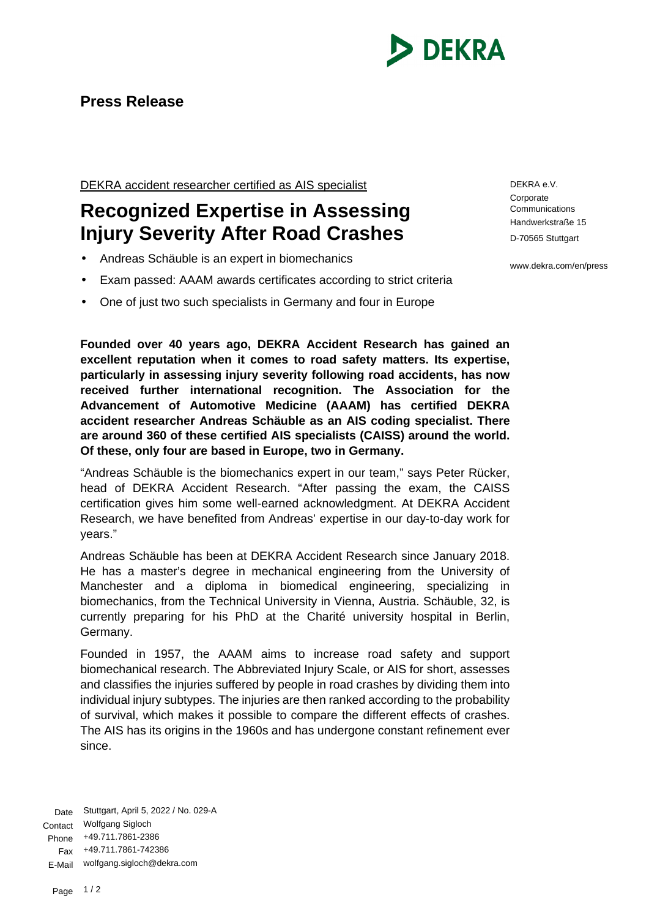

## **Press Release**

DEKRA accident researcher certified as AIS specialist

## **Recognized Expertise in Assessing Injury Severity After Road Crashes**

- Andreas Schäuble is an expert in biomechanics
- Exam passed: AAAM awards certificates according to strict criteria
- One of just two such specialists in Germany and four in Europe

**Founded over 40 years ago, DEKRA Accident Research has gained an excellent reputation when it comes to road safety matters. Its expertise, particularly in assessing injury severity following road accidents, has now received further international recognition. The Association for the Advancement of Automotive Medicine (AAAM) has certified DEKRA accident researcher Andreas Schäuble as an AIS coding specialist. There are around 360 of these certified AIS specialists (CAISS) around the world. Of these, only four are based in Europe, two in Germany.**

"Andreas Schäuble is the biomechanics expert in our team," says Peter Rücker, head of DEKRA Accident Research. "After passing the exam, the CAISS certification gives him some well-earned acknowledgment. At DEKRA Accident Research, we have benefited from Andreas' expertise in our day-to-day work for years."

Andreas Schäuble has been at DEKRA Accident Research since January 2018. He has a master's degree in mechanical engineering from the University of Manchester and a diploma in biomedical engineering, specializing in biomechanics, from the Technical University in Vienna, Austria. Schäuble, 32, is currently preparing for his PhD at the Charité university hospital in Berlin, Germany.

Founded in 1957, the AAAM aims to increase road safety and support biomechanical research. The Abbreviated Injury Scale, or AIS for short, assesses and classifies the injuries suffered by people in road crashes by dividing them into individual injury subtypes. The injuries are then ranked according to the probability of survival, which makes it possible to compare the different effects of crashes. The AIS has its origins in the 1960s and has undergone constant refinement ever since.

Date Stuttgart, April 5, 2022 / No. 029-A Contact Wolfgang Sigloch Phone +49.711.7861-2386 Fax +49.711.7861-742386 E-Mail wolfgang.sigloch@dekra.com

DEKRA e.V. **Corporate Communications** Handwerkstraße 15 D-70565 Stuttgart

www.dekra.com/en/press